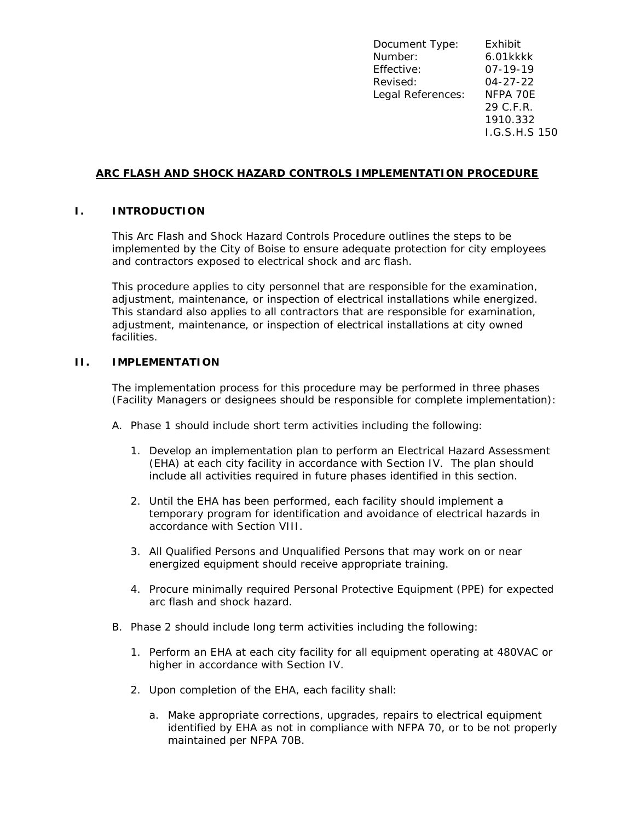Document Type: Exhibit Number: 6.01kkkk Effective: 07-19-19 Revised: 04-27-22 Legal References: NFPA 70E 29 C.F.R. 1910.332 I.G.S.H.S 150

# **ARC FLASH AND SHOCK HAZARD CONTROLS IMPLEMENTATION PROCEDURE**

## **I. INTRODUCTION**

This Arc Flash and Shock Hazard Controls Procedure outlines the steps to be implemented by the City of Boise to ensure adequate protection for city employees and contractors exposed to electrical shock and arc flash.

This procedure applies to city personnel that are responsible for the examination, adjustment, maintenance, or inspection of electrical installations while energized. This standard also applies to all contractors that are responsible for examination, adjustment, maintenance, or inspection of electrical installations at city owned facilities.

## **II. IMPLEMENTATION**

The implementation process for this procedure may be performed in three phases (Facility Managers or designees should be responsible for complete implementation):

- A. Phase 1 should include short term activities including the following:
	- 1. Develop an implementation plan to perform an Electrical Hazard Assessment (EHA) at each city facility in accordance with Section IV. The plan should include all activities required in future phases identified in this section.
	- 2. Until the EHA has been performed, each facility should implement a temporary program for identification and avoidance of electrical hazards in accordance with Section VIII.
	- 3. All Qualified Persons and Unqualified Persons that may work on or near energized equipment should receive appropriate training.
	- 4. Procure minimally required Personal Protective Equipment (PPE) for expected arc flash and shock hazard.
- B. Phase 2 should include long term activities including the following:
	- 1. Perform an EHA at each city facility for all equipment operating at 480VAC or higher in accordance with Section IV.
	- 2. Upon completion of the EHA, each facility shall:
		- a. Make appropriate corrections, upgrades, repairs to electrical equipment identified by EHA as not in compliance with NFPA 70, or to be not properly maintained per NFPA 70B.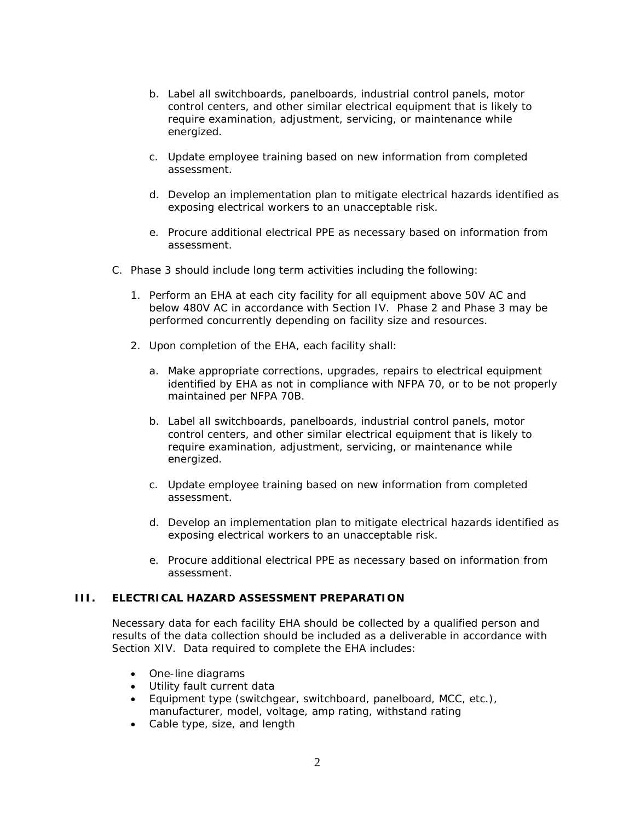- b. Label all switchboards, panelboards, industrial control panels, motor control centers, and other similar electrical equipment that is likely to require examination, adjustment, servicing, or maintenance while energized.
- c. Update employee training based on new information from completed assessment.
- d. Develop an implementation plan to mitigate electrical hazards identified as exposing electrical workers to an unacceptable risk.
- e. Procure additional electrical PPE as necessary based on information from assessment.
- C. Phase 3 should include long term activities including the following:
	- 1. Perform an EHA at each city facility for all equipment above 50V AC and below 480V AC in accordance with Section IV. Phase 2 and Phase 3 may be performed concurrently depending on facility size and resources.
	- 2. Upon completion of the EHA, each facility shall:
		- a. Make appropriate corrections, upgrades, repairs to electrical equipment identified by EHA as not in compliance with NFPA 70, or to be not properly maintained per NFPA 70B.
		- b. Label all switchboards, panelboards, industrial control panels, motor control centers, and other similar electrical equipment that is likely to require examination, adjustment, servicing, or maintenance while energized.
		- c. Update employee training based on new information from completed assessment.
		- d. Develop an implementation plan to mitigate electrical hazards identified as exposing electrical workers to an unacceptable risk.
		- e. Procure additional electrical PPE as necessary based on information from assessment.

#### **III. ELECTRICAL HAZARD ASSESSMENT PREPARATION**

Necessary data for each facility EHA should be collected by a qualified person and results of the data collection should be included as a deliverable in accordance with Section XIV. Data required to complete the EHA includes:

- One-line diagrams
- Utility fault current data
- Equipment type (switchgear, switchboard, panelboard, MCC, etc.), manufacturer, model, voltage, amp rating, withstand rating
- Cable type, size, and length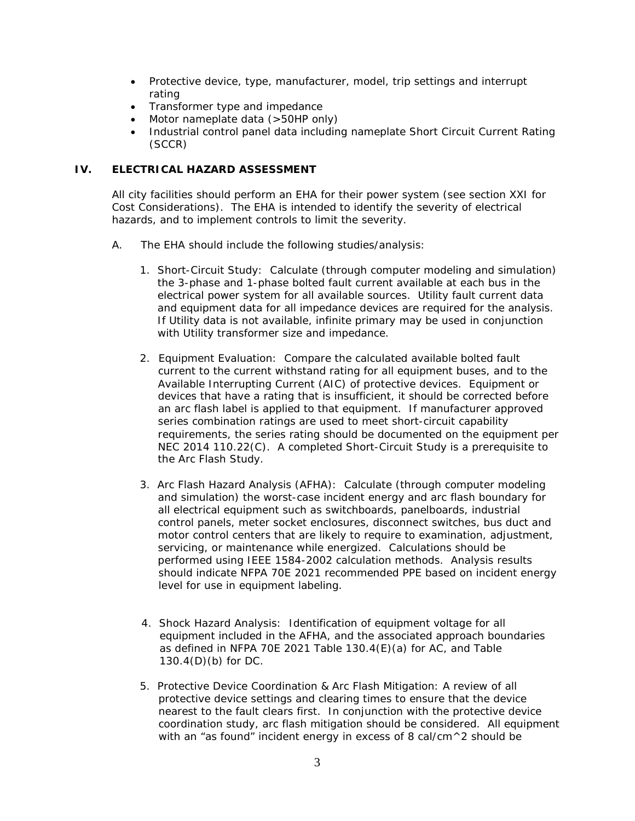- Protective device, type, manufacturer, model, trip settings and interrupt rating
- Transformer type and impedance
- Motor nameplate data (>50HP only)
- Industrial control panel data including nameplate Short Circuit Current Rating (SCCR)

# **IV. ELECTRICAL HAZARD ASSESSMENT**

All city facilities should perform an EHA for their power system (see section XXI for Cost Considerations). The EHA is intended to identify the severity of electrical hazards, and to implement controls to limit the severity.

- A. The EHA should include the following studies/analysis:
	- 1. Short-Circuit Study: Calculate (through computer modeling and simulation) the 3-phase and 1-phase bolted fault current available at each bus in the electrical power system for all available sources. Utility fault current data and equipment data for all impedance devices are required for the analysis. If Utility data is not available, infinite primary may be used in conjunction with Utility transformer size and impedance.
	- 2. Equipment Evaluation: Compare the calculated available bolted fault current to the current withstand rating for all equipment buses, and to the Available Interrupting Current (AIC) of protective devices. Equipment or devices that have a rating that is insufficient, it should be corrected before an arc flash label is applied to that equipment. If manufacturer approved series combination ratings are used to meet short-circuit capability requirements, the series rating should be documented on the equipment per NEC 2014 110.22(C). A completed Short-Circuit Study is a prerequisite to the Arc Flash Study.
	- 3. Arc Flash Hazard Analysis (AFHA): Calculate (through computer modeling and simulation) the worst-case incident energy and arc flash boundary for all electrical equipment such as switchboards, panelboards, industrial control panels, meter socket enclosures, disconnect switches, bus duct and motor control centers that are likely to require to examination, adjustment, servicing, or maintenance while energized. Calculations should be performed using IEEE 1584-2002 calculation methods. Analysis results should indicate NFPA 70E 2021 recommended PPE based on incident energy level for use in equipment labeling.
	- 4. Shock Hazard Analysis: Identification of equipment voltage for all equipment included in the AFHA, and the associated approach boundaries as defined in NFPA 70E 2021 Table 130.4(E)(a) for AC, and Table 130.4(D)(b) for DC.
	- 5. Protective Device Coordination & Arc Flash Mitigation: A review of all protective device settings and clearing times to ensure that the device nearest to the fault clears first. In conjunction with the protective device coordination study, arc flash mitigation should be considered. All equipment with an "as found" incident energy in excess of 8 cal/cm $\wedge$ 2 should be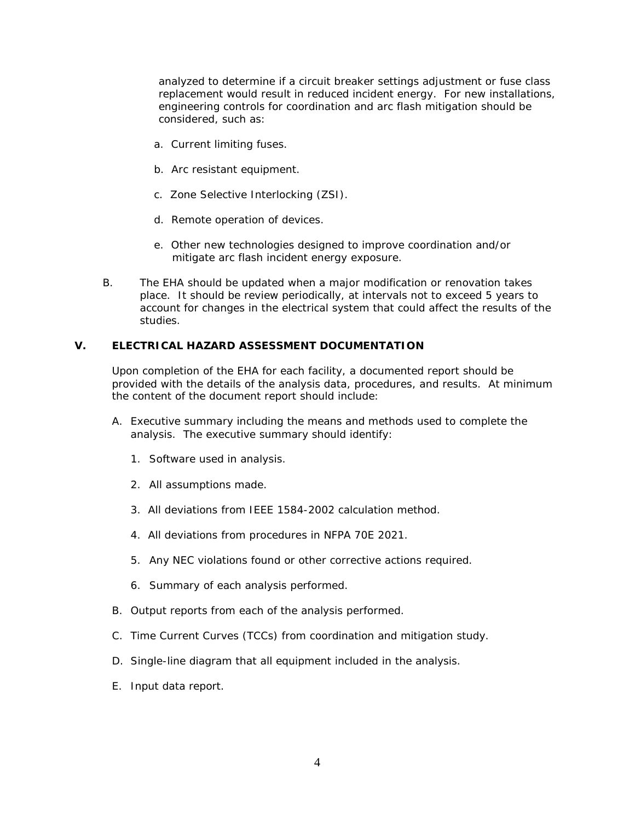analyzed to determine if a circuit breaker settings adjustment or fuse class replacement would result in reduced incident energy. For new installations, engineering controls for coordination and arc flash mitigation should be considered, such as:

- a. Current limiting fuses.
- b. Arc resistant equipment.
- c. Zone Selective Interlocking (ZSI).
- d. Remote operation of devices.
- e. Other new technologies designed to improve coordination and/or mitigate arc flash incident energy exposure.
- B. The EHA should be updated when a major modification or renovation takes place. It should be review periodically, at intervals not to exceed 5 years to account for changes in the electrical system that could affect the results of the studies.

#### **V. ELECTRICAL HAZARD ASSESSMENT DOCUMENTATION**

Upon completion of the EHA for each facility, a documented report should be provided with the details of the analysis data, procedures, and results. At minimum the content of the document report should include:

- A. Executive summary including the means and methods used to complete the analysis. The executive summary should identify:
	- 1. Software used in analysis.
	- 2. All assumptions made.
	- 3. All deviations from IEEE 1584-2002 calculation method.
	- 4. All deviations from procedures in NFPA 70E 2021.
	- 5. Any NEC violations found or other corrective actions required.
	- 6. Summary of each analysis performed.
- B. Output reports from each of the analysis performed.
- C. Time Current Curves (TCCs) from coordination and mitigation study.
- D. Single-line diagram that all equipment included in the analysis.
- E. Input data report.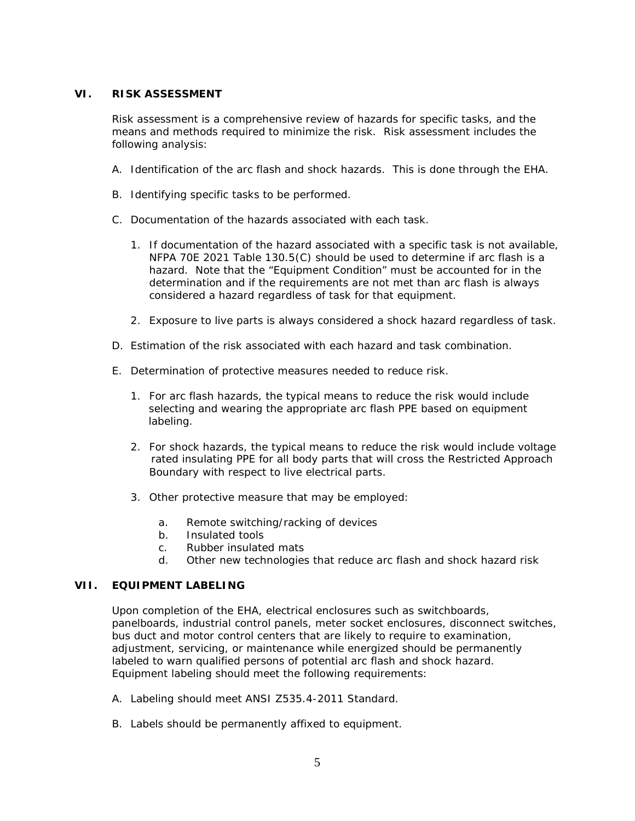#### **VI. RISK ASSESSMENT**

Risk assessment is a comprehensive review of hazards for specific tasks, and the means and methods required to minimize the risk. Risk assessment includes the following analysis:

- A. Identification of the arc flash and shock hazards. This is done through the EHA.
- B. Identifying specific tasks to be performed.
- C. Documentation of the hazards associated with each task.
	- 1. If documentation of the hazard associated with a specific task is not available, NFPA 70E 2021 Table 130.5(C) should be used to determine if arc flash is a hazard. Note that the "Equipment Condition" must be accounted for in the determination and if the requirements are not met than arc flash is always considered a hazard regardless of task for that equipment.
	- 2. Exposure to live parts is always considered a shock hazard regardless of task.
- D. Estimation of the risk associated with each hazard and task combination.
- E. Determination of protective measures needed to reduce risk.
	- 1. For arc flash hazards, the typical means to reduce the risk would include selecting and wearing the appropriate arc flash PPE based on equipment labeling.
	- 2. For shock hazards, the typical means to reduce the risk would include voltage rated insulating PPE for all body parts that will cross the Restricted Approach Boundary with respect to live electrical parts.
	- 3. Other protective measure that may be employed:
		- a. Remote switching/racking of devices
		- b. Insulated tools
		- c. Rubber insulated mats
		- d. Other new technologies that reduce arc flash and shock hazard risk

#### **VII. EQUIPMENT LABELING**

Upon completion of the EHA, electrical enclosures such as switchboards, panelboards, industrial control panels, meter socket enclosures, disconnect switches, bus duct and motor control centers that are likely to require to examination, adjustment, servicing, or maintenance while energized should be permanently labeled to warn qualified persons of potential arc flash and shock hazard. Equipment labeling should meet the following requirements:

- A. Labeling should meet ANSI Z535.4-2011 Standard.
- B. Labels should be permanently affixed to equipment.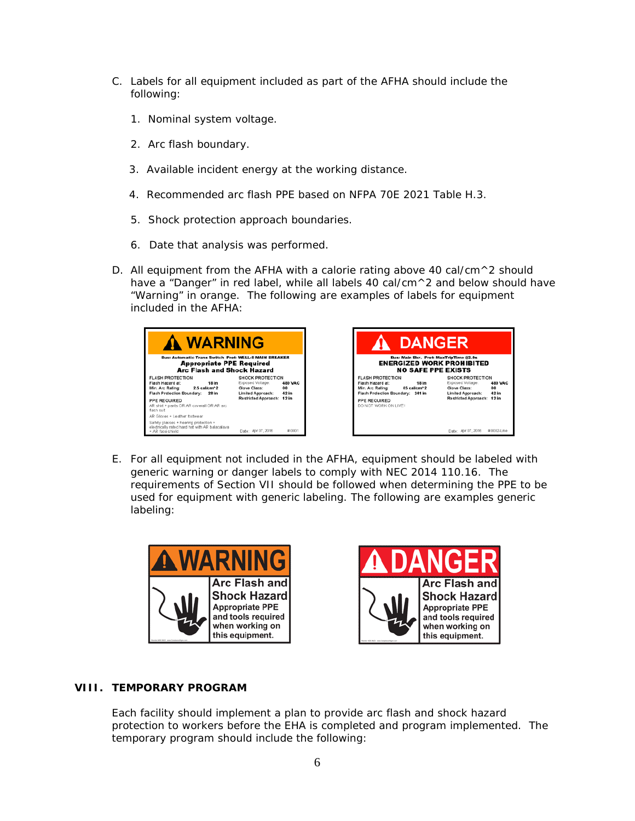- C. Labels for all equipment included as part of the AFHA should include the following:
	- 1. Nominal system voltage.
	- 2. Arc flash boundary.
	- 3. Available incident energy at the working distance.
	- 4. Recommended arc flash PPE based on NFPA 70E 2021 Table H.3.
	- 5. Shock protection approach boundaries.
	- 6. Date that analysis was performed.
- D. All equipment from the AFHA with a calorie rating above 40 cal/cm $\wedge$ 2 should have a "Danger" in red label, while all labels 40 cal/cm^2 and below should have "Warning" in orange. The following are examples of labels for equipment included in the AFHA:





E. For all equipment not included in the AFHA, equipment should be labeled with generic warning or danger labels to comply with NEC 2014 110.16. The requirements of Section VII should be followed when determining the PPE to be used for equipment with generic labeling. The following are examples generic labeling:





# **VIII. TEMPORARY PROGRAM**

Each facility should implement a plan to provide arc flash and shock hazard protection to workers before the EHA is completed and program implemented. The temporary program should include the following: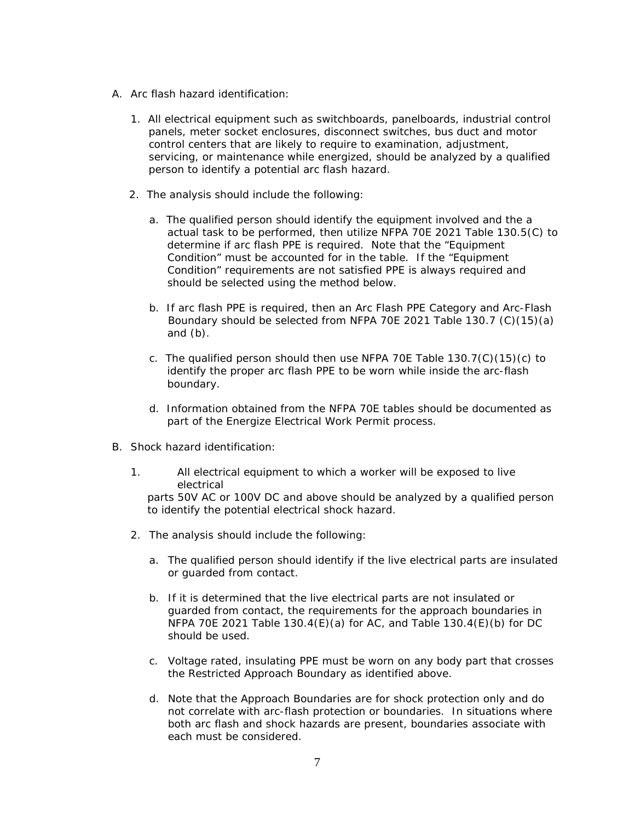- A. Arc flash hazard identification:
	- 1. All electrical equipment such as switchboards, panelboards, industrial control panels, meter socket enclosures, disconnect switches, bus duct and motor control centers that are likely to require to examination, adjustment, servicing, or maintenance while energized, should be analyzed by a qualified person to identify a potential arc flash hazard.
	- 2. The analysis should include the following:
		- a. The qualified person should identify the equipment involved and the a actual task to be performed, then utilize NFPA 70E 2021 Table 130.5(C) to determine if arc flash PPE is required. Note that the "Equipment Condition" must be accounted for in the table. If the "Equipment Condition" requirements are not satisfied PPE is always required and should be selected using the method below.
		- b. If arc flash PPE is required, then an Arc Flash PPE Category and Arc-Flash Boundary should be selected from NFPA 70E 2021 Table 130.7 (C)(15)(a) and (b).
		- c. The qualified person should then use NFPA 70E Table  $130.7(C)(15)(c)$  to identify the proper arc flash PPE to be worn while inside the arc-flash boundary.
		- d. Information obtained from the NFPA 70E tables should be documented as part of the Energize Electrical Work Permit process.
- B. Shock hazard identification:
	- 1. All electrical equipment to which a worker will be exposed to live electrical parts 50V AC or 100V DC and above should be analyzed by a qualified person to identify the potential electrical shock hazard.
	- 2. The analysis should include the following:
		- a. The qualified person should identify if the live electrical parts are insulated or guarded from contact.
		- b. If it is determined that the live electrical parts are not insulated or guarded from contact, the requirements for the approach boundaries in NFPA 70E 2021 Table 130.4(E)(a) for AC, and Table 130.4(E)(b) for DC should be used.
		- c. Voltage rated, insulating PPE must be worn on any body part that crosses the Restricted Approach Boundary as identified above.
		- d. Note that the Approach Boundaries are for shock protection only and do not correlate with arc-flash protection or boundaries. In situations where both arc flash and shock hazards are present, boundaries associate with each must be considered.